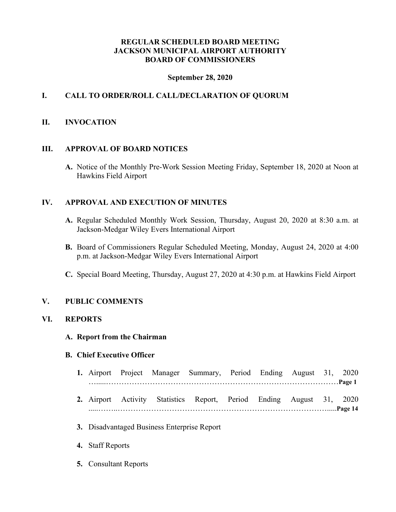# **REGULAR SCHEDULED BOARD MEETING JACKSON MUNICIPAL AIRPORT AUTHORITY BOARD OF COMMISSIONERS**

# **September 28, 2020**

# **I. CALL TO ORDER/ROLL CALL/DECLARATION OF QUORUM**

#### **II. INVOCATION**

#### **III. APPROVAL OF BOARD NOTICES**

**A.** Notice of the Monthly Pre-Work Session Meeting Friday, September 18, 2020 at Noon at Hawkins Field Airport

# **IV. APPROVAL AND EXECUTION OF MINUTES**

- **A.** Regular Scheduled Monthly Work Session, Thursday, August 20, 2020 at 8:30 a.m. at Jackson-Medgar Wiley Evers International Airport
- **B.** Board of Commissioners Regular Scheduled Meeting, Monday, August 24, 2020 at 4:00 p.m. at Jackson-Medgar Wiley Evers International Airport
- **C.** Special Board Meeting, Thursday, August 27, 2020 at 4:30 p.m. at Hawkins Field Airport

# **V. PUBLIC COMMENTS**

# **VI. REPORTS**

#### **A. Report from the Chairman**

#### **B. Chief Executive Officer**

- **1.** Airport Project Manager Summary, Period Ending August 31, 2020 ….....………………………………………………………………………………**Page 1**
- **2.** Airport Activity Statistics Report, Period Ending August 31, 2020 .....……..……………………………………………………………………….....**Page 14**
- **3.** Disadvantaged Business Enterprise Report
- **4.** Staff Reports
- **5.** Consultant Reports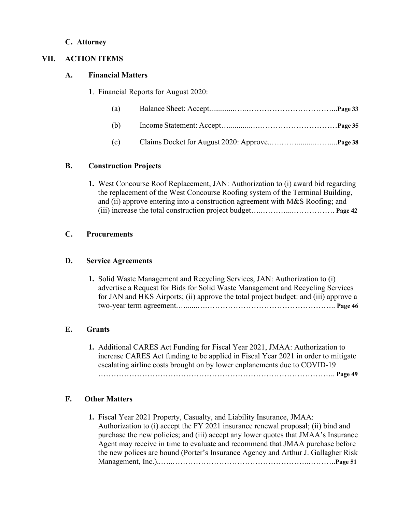# **C. Attorney**

# **VII. ACTION ITEMS**

# **A. Financial Matters**

**1**. Financial Reports for August 2020:

| (a) |  |
|-----|--|
| (b) |  |
| (c) |  |

# **B. Construction Projects**

**1.** West Concourse Roof Replacement, JAN: Authorization to (i) award bid regarding the replacement of the West Concourse Roofing system of the Terminal Building, and (ii) approve entering into a construction agreement with M&S Roofing; and (iii) increase the total construction project budget…..………....……………. **Page 42**

# **C. Procurements**

# **D. Service Agreements**

**1.** Solid Waste Management and Recycling Services, JAN: Authorization to (i) advertise a Request for Bids for Solid Waste Management and Recycling Services for JAN and HKS Airports; (ii) approve the total project budget: and (iii) approve a two-year term agreement.…......….………………………………………….. **Page 46**

# **E. Grants**

**1.** Additional CARES Act Funding for Fiscal Year 2021, JMAA: Authorization to increase CARES Act funding to be applied in Fiscal Year 2021 in order to mitigate escalating airline costs brought on by lower enplanements due to COVID-19 ……………………………………………………………………………….. **Page 49**

# **F. Other Matters**

**1.** Fiscal Year 2021 Property, Casualty, and Liability Insurance, JMAA: Authorization to (i) accept the FY 2021 insurance renewal proposal; (ii) bind and purchase the new policies; and (iii) accept any lower quotes that JMAA's Insurance Agent may receive in time to evaluate and recommend that JMAA purchase before the new polices are bound (Porter's Insurance Agency and Arthur J. Gallagher Risk Management, Inc.)..…..……………………………………………..………..**Page 51**